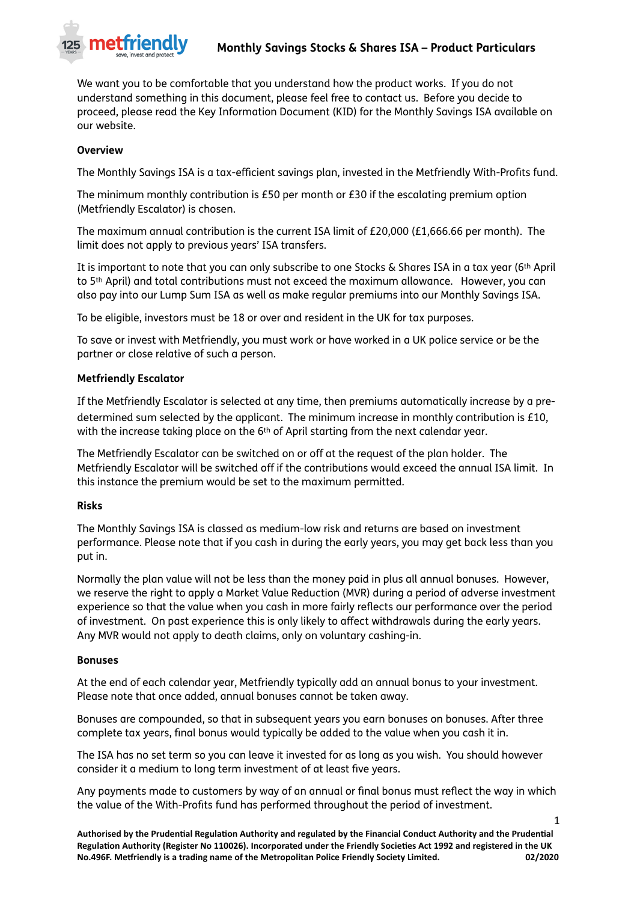

We want you to be comfortable that you understand how the product works. If you do not understand something in this document, please feel free to contact us. Before you decide to proceed, please read the Key Information Document (KID) for the Monthly Savings ISA available on our website.

# **Overview**

The Monthly Savings ISA is a tax-efficient savings plan, invested in the Metfriendly With-Profits fund.

The minimum monthly contribution is £50 per month or £30 if the escalating premium option (Metfriendly Escalator) is chosen.

The maximum annual contribution is the current ISA limit of £20,000 (£1,666.66 per month). The limit does not apply to previous years' ISA transfers.

It is important to note that you can only subscribe to one Stocks & Shares ISA in a tax year (6th April to 5th April) and total contributions must not exceed the maximum allowance. However, you can also pay into our Lump Sum ISA as well as make regular premiums into our Monthly Savings ISA.

To be eligible, investors must be 18 or over and resident in the UK for tax purposes.

To save or invest with Metfriendly, you must work or have worked in a UK police service or be the partner or close relative of such a person.

# **Metfriendly Escalator**

If the Metfriendly Escalator is selected at any time, then premiums automatically increase by a predetermined sum selected by the applicant. The minimum increase in monthly contribution is £10, with the increase taking place on the 6<sup>th</sup> of April starting from the next calendar year.

The Metfriendly Escalator can be switched on or off at the request of the plan holder. The Metfriendly Escalator will be switched off if the contributions would exceed the annual ISA limit. In this instance the premium would be set to the maximum permitted.

# **Risks**

The Monthly Savings ISA is classed as medium-low risk and returns are based on investment performance. Please note that if you cash in during the early years, you may get back less than you put in.

Normally the plan value will not be less than the money paid in plus all annual bonuses. However, we reserve the right to apply a Market Value Reduction (MVR) during a period of adverse investment experience so that the value when you cash in more fairly reflects our performance over the period of investment. On past experience this is only likely to affect withdrawals during the early years. Any MVR would not apply to death claims, only on voluntary cashing-in.

# **Bonuses**

At the end of each calendar year, Metfriendly typically add an annual bonus to your investment. Please note that once added, annual bonuses cannot be taken away.

Bonuses are compounded, so that in subsequent years you earn bonuses on bonuses. After three complete tax years, final bonus would typically be added to the value when you cash it in.

The ISA has no set term so you can leave it invested for as long as you wish. You should however consider it a medium to long term investment of at least five years.

Any payments made to customers by way of an annual or final bonus must reflect the way in which the value of the With-Profits fund has performed throughout the period of investment.

1

Authorised by the Prudential Regulation Authority and regulated by the Financial Conduct Authority and the Prudential Regulation Authority (Register No 110026). Incorporated under the Friendly Societies Act 1992 and registered in the UK **No.496F. MeHriendly is a trading name of the Metropolitan Police Friendly Society Limited. 02/2020**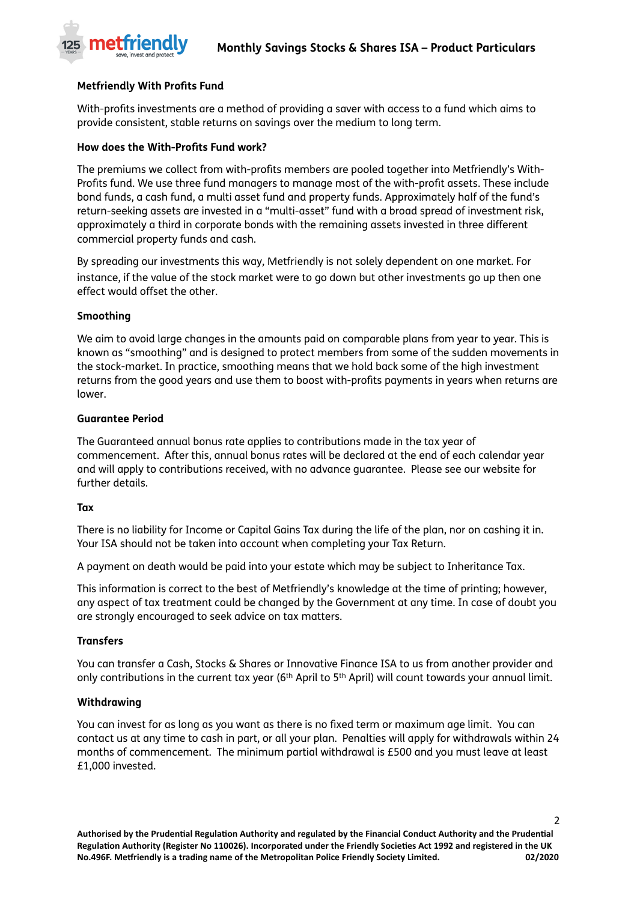

# **Metfriendly With Profits Fund**

With-profits investments are a method of providing a saver with access to a fund which aims to provide consistent, stable returns on savings over the medium to long term.

# **How does the With-Profits Fund work?**

The premiums we collect from with-profits members are pooled together into Metfriendly's With-Profits fund. We use three fund managers to manage most of the with-profit assets. These include bond funds, a cash fund, a multi asset fund and property funds. Approximately half of the fund's return-seeking assets are invested in a "multi-asset" fund with a broad spread of investment risk, approximately a third in corporate bonds with the remaining assets invested in three different commercial property funds and cash.

By spreading our investments this way, Metfriendly is not solely dependent on one market. For instance, if the value of the stock market were to go down but other investments go up then one effect would offset the other.

#### **Smoothing**

We aim to avoid large changes in the amounts paid on comparable plans from year to year. This is known as "smoothing" and is designed to protect members from some of the sudden movements in the stock-market. In practice, smoothing means that we hold back some of the high investment returns from the good years and use them to boost with-profits payments in years when returns are lower.

#### **Guarantee Period**

The Guaranteed annual bonus rate applies to contributions made in the tax year of commencement. After this, annual bonus rates will be declared at the end of each calendar year and will apply to contributions received, with no advance guarantee. Please see our website for further details.

#### **Tax**

There is no liability for Income or Capital Gains Tax during the life of the plan, nor on cashing it in. Your ISA should not be taken into account when completing your Tax Return.

A payment on death would be paid into your estate which may be subject to Inheritance Tax.

This information is correct to the best of Metfriendly's knowledge at the time of printing; however, any aspect of tax treatment could be changed by the Government at any time. In case of doubt you are strongly encouraged to seek advice on tax matters.

# **Transfers**

You can transfer a Cash, Stocks & Shares or Innovative Finance ISA to us from another provider and only contributions in the current tax year (6<sup>th</sup> April to 5<sup>th</sup> April) will count towards your annual limit.

#### **Withdrawing**

You can invest for as long as you want as there is no fixed term or maximum age limit. You can contact us at any time to cash in part, or all your plan. Penalties will apply for withdrawals within 24 months of commencement. The minimum partial withdrawal is £500 and you must leave at least £1,000 invested.

2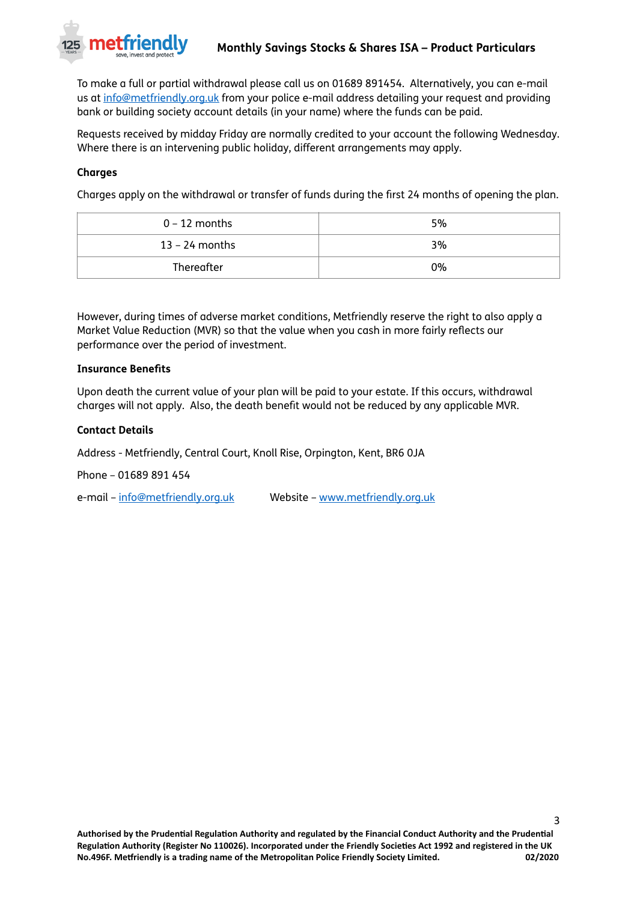

To make a full or partial withdrawal please call us on 01689 891454. Alternatively, you can e-mail us at [info@metfriendly.org.uk](mailto:info@metfriendly.org.uk) from your police e-mail address detailing your request and providing bank or building society account details (in your name) where the funds can be paid.

Requests received by midday Friday are normally credited to your account the following Wednesday. Where there is an intervening public holiday, different arrangements may apply.

# **Charges**

Charges apply on the withdrawal or transfer of funds during the first 24 months of opening the plan.

| $0 - 12$ months  | 5% |
|------------------|----|
| $13$ – 24 months | 3% |
| Thereafter       | 0% |

However, during times of adverse market conditions, Metfriendly reserve the right to also apply a Market Value Reduction (MVR) so that the value when you cash in more fairly reflects our performance over the period of investment.

#### **Insurance Benefits**

Upon death the current value of your plan will be paid to your estate. If this occurs, withdrawal charges will not apply. Also, the death benefit would not be reduced by any applicable MVR.

#### **Contact Details**

Address - Metfriendly, Central Court, Knoll Rise, Orpington, Kent, BR6 0JA

Phone – 01689 891 454

e-mail – [info@metfriendly.org.uk](mailto:info@metfriendly.org.uk) Website – [www.metfriendly.org.uk](http://www.metfriendly.org.uk)